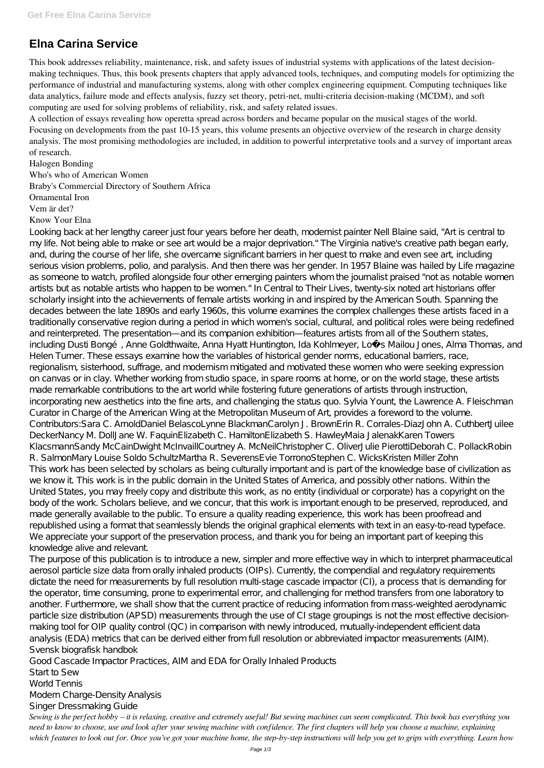## **Elna Carina Service**

This book addresses reliability, maintenance, risk, and safety issues of industrial systems with applications of the latest decisionmaking techniques. Thus, this book presents chapters that apply advanced tools, techniques, and computing models for optimizing the performance of industrial and manufacturing systems, along with other complex engineering equipment. Computing techniques like data analytics, failure mode and effects analysis, fuzzy set theory, petri-net, multi-criteria decision-making (MCDM), and soft computing are used for solving problems of reliability, risk, and safety related issues.

A collection of essays revealing how operetta spread across borders and became popular on the musical stages of the world. Focusing on developments from the past 10-15 years, this volume presents an objective overview of the research in charge density analysis. The most promising methodologies are included, in addition to powerful interpretative tools and a survey of important areas of research.

Halogen Bonding Who's who of American Women Braby's Commercial Directory of Southern Africa Ornamental Iron Vem är det?

Know Your Elna

Looking back at her lengthy career just four years before her death, modernist painter Nell Blaine said, "Art is central to my life. Not being able to make or see art would be a major deprivation." The Virginia native's creative path began early, and, during the course of her life, she overcame significant barriers in her quest to make and even see art, including serious vision problems, polio, and paralysis. And then there was her gender. In 1957 Blaine was hailed by Life magazine as someone to watch, profiled alongside four other emerging painters whom the journalist praised "not as notable women artists but as notable artists who happen to be women." In Central to Their Lives, twenty-six noted art historians offer scholarly insight into the achievements of female artists working in and inspired by the American South. Spanning the decades between the late 1890s and early 1960s, this volume examines the complex challenges these artists faced in a traditionally conservative region during a period in which women's social, cultural, and political roles were being redefined and reinterpreted. The presentation—and its companion exhibition—features artists from all of the Southern states, including Dusti Bongé, Anne Goldthwaite, Anna Hyatt Huntington, Ida Kohlmeyer, Loïs Mailou Jones, Alma Thomas, and Helen Turner. These essays examine how the variables of historical gender norms, educational barriers, race, regionalism, sisterhood, suffrage, and modernism mitigated and motivated these women who were seeking expression on canvas or in clay. Whether working from studio space, in spare rooms at home, or on the world stage, these artists made remarkable contributions to the art world while fostering future generations of artists through instruction, incorporating new aesthetics into the fine arts, and challenging the status quo. Sylvia Yount, the Lawrence A. Fleischman Curator in Charge of the American Wing at the Metropolitan Museum of Art, provides a foreword to the volume. Contributors:Sara C. ArnoldDaniel BelascoLynne BlackmanCarolyn J. BrownErin R. Corrales-DiazJohn A. CuthbertJuilee DeckerNancy M. DollJane W. FaquinElizabeth C. HamiltonElizabeth S. HawleyMaia JalenakKaren Towers KlacsmannSandy McCainDwight McInvaillCourtney A. McNeilChristopher C. OliverJulie PierottiDeborah C. PollackRobin R. SalmonMary Louise Soldo SchultzMartha R. SeverensEvie TorronoStephen C. WicksKristen Miller Zohn This work has been selected by scholars as being culturally important and is part of the knowledge base of civilization as we know it. This work is in the public domain in the United States of America, and possibly other nations. Within the United States, you may freely copy and distribute this work, as no entity (individual or corporate) has a copyright on the body of the work. Scholars believe, and we concur, that this work is important enough to be preserved, reproduced, and made generally available to the public. To ensure a quality reading experience, this work has been proofread and republished using a format that seamlessly blends the original graphical elements with text in an easy-to-read typeface. We appreciate your support of the preservation process, and thank you for being an important part of keeping this knowledge alive and relevant.

The purpose of this publication is to introduce a new, simpler and more effective way in which to interpret pharmaceutical aerosol particle size data from orally inhaled products (OIPs). Currently, the compendial and regulatory requirements dictate the need for measurements by full resolution multi-stage cascade impactor (CI), a process that is demanding for the operator, time consuming, prone to experimental error, and challenging for method transfers from one laboratory to another. Furthermore, we shall show that the current practice of reducing information from mass-weighted aerodynamic particle size distribution (APSD) measurements through the use of CI stage groupings is not the most effective decisionmaking tool for OIP quality control (QC) in comparison with newly introduced, mutually-independent efficient data analysis (EDA) metrics that can be derived either from full resolution or abbreviated impactor measurements (AIM). Svensk biografisk handbok Good Cascade Impactor Practices, AIM and EDA for Orally Inhaled Products Start to Sew World Tennis Modern Charge-Density Analysis Singer Dressmaking Guide *Sewing is the perfect hobby – it is relaxing, creative and extremely useful! But sewing machines can seem complicated. This book has everything you need to know to choose, use and look after your sewing machine with confidence. The first chapters will help you choose a machine, explaining which features to look out for. Once you've got your machine home, the step-by-step instructions will help you get to grips with everything. Learn how*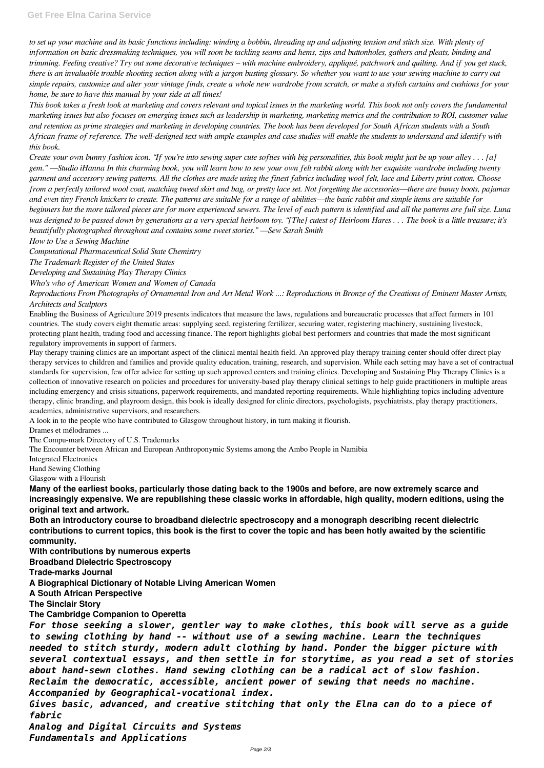*to set up your machine and its basic functions including: winding a bobbin, threading up and adjusting tension and stitch size. With plenty of information on basic dressmaking techniques, you will soon be tackling seams and hems, zips and buttonholes, gathers and pleats, binding and trimming. Feeling creative? Try out some decorative techniques – with machine embroidery, appliqué, patchwork and quilting. And if you get stuck, there is an invaluable trouble shooting section along with a jargon busting glossary. So whether you want to use your sewing machine to carry out simple repairs, customize and alter your vintage finds, create a whole new wardrobe from scratch, or make a stylish curtains and cushions for your home, be sure to have this manual by your side at all times!*

*This book takes a fresh look at marketing and covers relevant and topical issues in the marketing world. This book not only covers the fundamental marketing issues but also focuses on emerging issues such as leadership in marketing, marketing metrics and the contribution to ROI, customer value and retention as prime strategies and marketing in developing countries. The book has been developed for South African students with a South African frame of reference. The well-designed text with ample examples and case studies will enable the students to understand and identify with this book.*

*Create your own bunny fashion icon. "If you're into sewing super cute softies with big personalities, this book might just be up your alley . . . [a] gem." —Studio iHanna In this charming book, you will learn how to sew your own felt rabbit along with her exquisite wardrobe including twenty garment and accessory sewing patterns. All the clothes are made using the finest fabrics including wool felt, lace and Liberty print cotton. Choose from a perfectly tailored wool coat, matching tweed skirt and bag, or pretty lace set. Not forgetting the accessories—there are bunny boots, pajamas and even tiny French knickers to create. The patterns are suitable for a range of abilities—the basic rabbit and simple items are suitable for beginners but the more tailored pieces are for more experienced sewers. The level of each pattern is identified and all the patterns are full size. Luna was designed to be passed down by generations as a very special heirloom toy. "[The] cutest of Heirloom Hares . . . The book is a little treasure; it's beautifully photographed throughout and contains some sweet stories." —Sew Sarah Smith*

*How to Use a Sewing Machine*

*Computational Pharmaceutical Solid State Chemistry*

*The Trademark Register of the United States*

*Developing and Sustaining Play Therapy Clinics*

*Who's who of American Women and Women of Canada*

*Reproductions From Photographs of Ornamental Iron and Art Metal Work ...: Reproductions in Bronze of the Creations of Eminent Master Artists, Architects and Sculptors*

Enabling the Business of Agriculture 2019 presents indicators that measure the laws, regulations and bureaucratic processes that affect farmers in 101 countries. The study covers eight thematic areas: supplying seed, registering fertilizer, securing water, registering machinery, sustaining livestock, protecting plant health, trading food and accessing finance. The report highlights global best performers and countries that made the most significant regulatory improvements in support of farmers.

Play therapy training clinics are an important aspect of the clinical mental health field. An approved play therapy training center should offer direct play therapy services to children and families and provide quality education, training, research, and supervision. While each setting may have a set of contractual standards for supervision, few offer advice for setting up such approved centers and training clinics. Developing and Sustaining Play Therapy Clinics is a collection of innovative research on policies and procedures for university-based play therapy clinical settings to help guide practitioners in multiple areas including emergency and crisis situations, paperwork requirements, and mandated reporting requirements. While highlighting topics including adventure therapy, clinic branding, and playroom design, this book is ideally designed for clinic directors, psychologists, psychiatrists, play therapy practitioners, academics, administrative supervisors, and researchers.

A look in to the people who have contributed to Glasgow throughout history, in turn making it flourish.

Drames et mélodrames ...

The Compu-mark Directory of U.S. Trademarks

The Encounter between African and European Anthroponymic Systems among the Ambo People in Namibia

Integrated Electronics

Hand Sewing Clothing

Glasgow with a Flourish

**Many of the earliest books, particularly those dating back to the 1900s and before, are now extremely scarce and increasingly expensive. We are republishing these classic works in affordable, high quality, modern editions, using the original text and artwork.**

**Both an introductory course to broadband dielectric spectroscopy and a monograph describing recent dielectric contributions to current topics, this book is the first to cover the topic and has been hotly awaited by the scientific community.**

**With contributions by numerous experts**

**Broadband Dielectric Spectroscopy**

**Trade-marks Journal**

**A Biographical Dictionary of Notable Living American Women A South African Perspective The Sinclair Story The Cambridge Companion to Operetta** *For those seeking a slower, gentler way to make clothes, this book will serve as a guide to sewing clothing by hand -- without use of a sewing machine. Learn the techniques needed to stitch sturdy, modern adult clothing by hand. Ponder the bigger picture with several contextual essays, and then settle in for storytime, as you read a set of stories about hand-sewn clothes. Hand sewing clothing can be a radical act of slow fashion. Reclaim the democratic, accessible, ancient power of sewing that needs no machine. Accompanied by Geographical-vocational index. Gives basic, advanced, and creative stitching that only the Elna can do to a piece of fabric Analog and Digital Circuits and Systems Fundamentals and Applications*